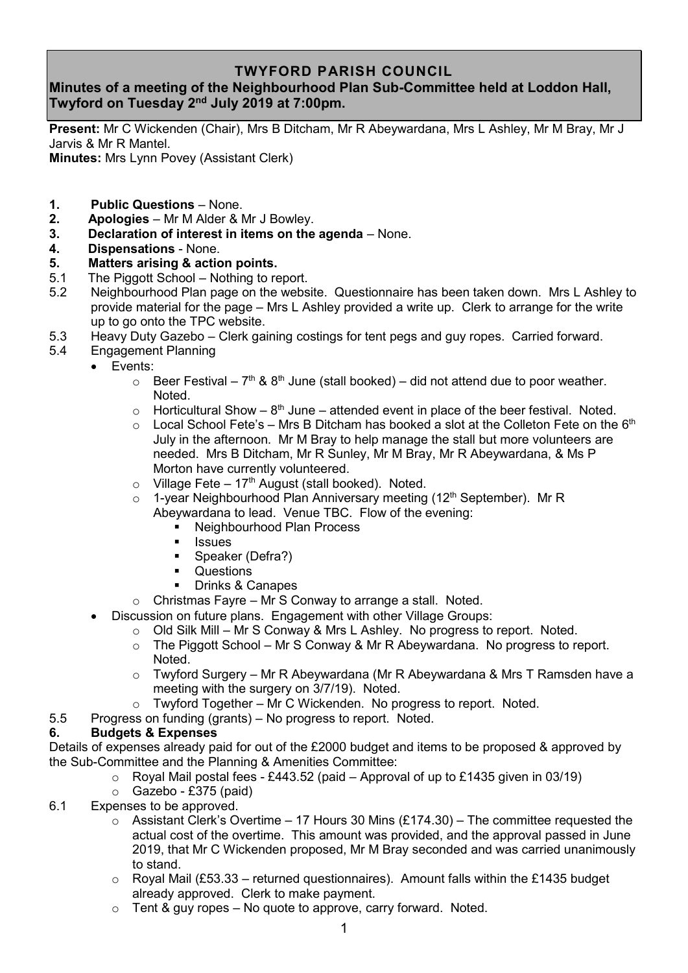# **TWYFORD PARISH COUNCIL**

# **Minutes of a meeting of the Neighbourhood Plan Sub-Committee held at Loddon Hall, Twyford on Tuesday 2 nd July 2019 at 7:00pm.**

**Present:** Mr C Wickenden (Chair), Mrs B Ditcham, Mr R Abeywardana, Mrs L Ashley, Mr M Bray, Mr J Jarvis & Mr R Mantel.

**Minutes:** Mrs Lynn Povey (Assistant Clerk)

- **1. Public Questions** None.
- **2. Apologies** Mr M Alder & Mr J Bowley.
- **3. Declaration of interest in items on the agenda** None.
- **4. Dispensations** None.
- **5. Matters arising & action points.**
- 5.1 The Piggott School Nothing to report.
- 5.2 Neighbourhood Plan page on the website. Questionnaire has been taken down. Mrs L Ashley to provide material for the page – Mrs L Ashley provided a write up. Clerk to arrange for the write up to go onto the TPC website.
- 5.3 Heavy Duty Gazebo Clerk gaining costings for tent pegs and guy ropes. Carried forward.
- 5.4 Engagement Planning
	- Events:
		- $\circ$  Beer Festival 7<sup>th</sup> & 8<sup>th</sup> June (stall booked) did not attend due to poor weather. Noted.
		- $\circ$  Horticultural Show 8<sup>th</sup> June attended event in place of the beer festival. Noted.
		- $\circ$  Local School Fete's Mrs B Ditcham has booked a slot at the Colleton Fete on the 6<sup>th</sup> July in the afternoon. Mr M Bray to help manage the stall but more volunteers are needed. Mrs B Ditcham, Mr R Sunley, Mr M Bray, Mr R Abeywardana, & Ms P Morton have currently volunteered.
		- $\circ$  Village Fete 17<sup>th</sup> August (stall booked). Noted.
		- $\circ$  1-year Neighbourhood Plan Anniversary meeting (12<sup>th</sup> September). Mr R Abeywardana to lead. Venue TBC. Flow of the evening:
			- Neighbourhood Plan Process
			- Issues
			- Speaker (Defra?)
			- Questions
			- Drinks & Canapes
		- o Christmas Fayre Mr S Conway to arrange a stall. Noted.
		- Discussion on future plans. Engagement with other Village Groups:
			- o Old Silk Mill Mr S Conway & Mrs L Ashley. No progress to report. Noted.
			- o The Piggott School Mr S Conway & Mr R Abeywardana. No progress to report. Noted.
			- o Twyford Surgery Mr R Abeywardana (Mr R Abeywardana & Mrs T Ramsden have a meeting with the surgery on 3/7/19). Noted.
			- $\circ$  Twyford Together Mr C Wickenden. No progress to report. Noted.
- 5.5 Progress on funding (grants) No progress to report. Noted.

## **6. Budgets & Expenses**

Details of expenses already paid for out of the £2000 budget and items to be proposed & approved by the Sub-Committee and the Planning & Amenities Committee:

- $\circ$  Royal Mail postal fees £443.52 (paid Approval of up to £1435 given in 03/19)
- $\circ$  Gazebo £375 (paid)
- 6.1 Expenses to be approved.
	- $\circ$  Assistant Clerk's Overtime 17 Hours 30 Mins (£174.30) The committee requested the actual cost of the overtime. This amount was provided, and the approval passed in June 2019, that Mr C Wickenden proposed, Mr M Bray seconded and was carried unanimously to stand.
	- $\circ$  Royal Mail (£53.33 returned questionnaires). Amount falls within the £1435 budget already approved. Clerk to make payment.
	- $\circ$  Tent & guy ropes No quote to approve, carry forward. Noted.